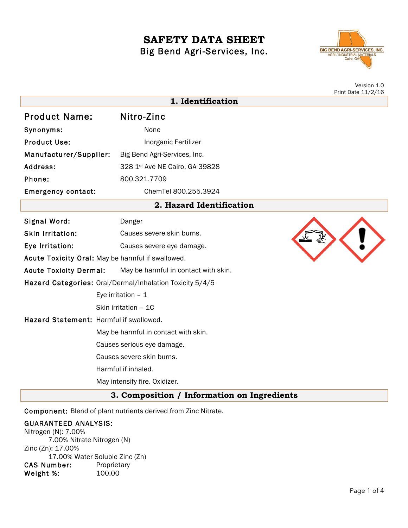# **SAFETY DATA SHEET** Big Bend Agri-Services, Inc.



Version 1.0 Print Date 11/2/16

|                                         |                                                          | Print pate $\pm\frac{1}{2}$ $\pm\frac{1}{2}$ |
|-----------------------------------------|----------------------------------------------------------|----------------------------------------------|
|                                         | 1. Identification                                        |                                              |
| <b>Product Name:</b>                    | Nitro-Zinc                                               |                                              |
| Synonyms:                               | None                                                     |                                              |
| <b>Product Use:</b>                     | Inorganic Fertilizer                                     |                                              |
| Manufacturer/Supplier:                  | Big Bend Agri-Services, Inc.                             |                                              |
| Address:                                | 328 1st Ave NE Cairo, GA 39828                           |                                              |
| Phone:                                  | 800.321.7709                                             |                                              |
| <b>Emergency contact:</b>               | ChemTel 800.255.3924                                     |                                              |
|                                         | 2. Hazard Identification                                 |                                              |
| Signal Word:                            | Danger                                                   |                                              |
| Skin Irritation:                        | Causes severe skin burns.                                |                                              |
| Eye Irritation:                         | Causes severe eye damage.                                |                                              |
|                                         | Acute Toxicity Oral: May be harmful if swallowed.        |                                              |
| <b>Acute Toxicity Dermal:</b>           | May be harmful in contact with skin.                     |                                              |
|                                         | Hazard Categories: Oral/Dermal/Inhalation Toxicity 5/4/5 |                                              |
|                                         | Eye irritation $-1$                                      |                                              |
|                                         | Skin irritation - 1C                                     |                                              |
| Hazard Statement: Harmful if swallowed. |                                                          |                                              |
|                                         | May be harmful in contact with skin.                     |                                              |
|                                         | Causes serious eye damage.                               |                                              |
|                                         | Causes severe skin burns.                                |                                              |
|                                         | Harmful if inhaled.                                      |                                              |
|                                         | May intensify fire. Oxidizer.                            |                                              |
|                                         |                                                          |                                              |

**3. Composition / Information on Ingredients**

Component: Blend of plant nutrients derived from Zinc Nitrate.

# GUARANTEED ANALYSIS:

Nitrogen (N): 7.00% 7.00% Nitrate Nitrogen (N) Zinc (Zn): 17.00% 17.00% Water Soluble Zinc (Zn) CAS Number: Proprietary<br>Weight %: 100.00 Weight %: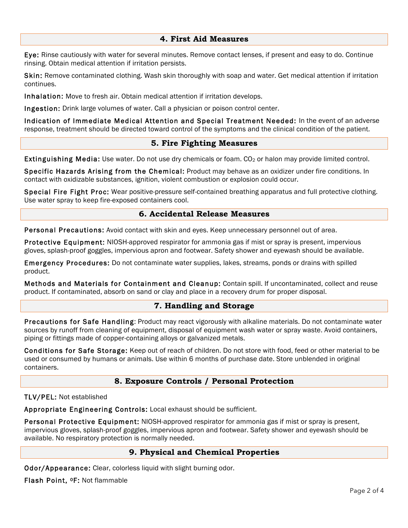#### **4. First Aid Measures**

Eye: Rinse cautiously with water for several minutes. Remove contact lenses, if present and easy to do. Continue rinsing. Obtain medical attention if irritation persists.

Skin: Remove contaminated clothing. Wash skin thoroughly with soap and water. Get medical attention if irritation continues.

Inhalation: Move to fresh air. Obtain medical attention if irritation develops.

Ingestion: Drink large volumes of water. Call a physician or poison control center.

Indication of Immediate Medical Attention and Special Treatment Needed: In the event of an adverse response, treatment should be directed toward control of the symptoms and the clinical condition of the patient.

#### **5. Fire Fighting Measures**

Extinguishing Media: Use water. Do not use dry chemicals or foam. CO<sub>2</sub> or halon may provide limited control.

Specific Hazards Arising from the Chemical: Product may behave as an oxidizer under fire conditions. In contact with oxidizable substances, ignition, violent combustion or explosion could occur.

Special Fire Fight Proc: Wear positive-pressure self-contained breathing apparatus and full protective clothing. Use water spray to keep fire-exposed containers cool.

#### **6. Accidental Release Measures**

Personal Precautions: Avoid contact with skin and eyes. Keep unnecessary personnel out of area.

Protective Equipment: NIOSH-approved respirator for ammonia gas if mist or spray is present, impervious gloves, splash-proof goggles, impervious apron and footwear. Safety shower and eyewash should be available.

Emergency Procedures: Do not contaminate water supplies, lakes, streams, ponds or drains with spilled product.

Methods and Materials for Containment and Cleanup: Contain spill. If uncontaminated, collect and reuse product. If contaminated, absorb on sand or clay and place in a recovery drum for proper disposal.

#### **7. Handling and Storage**

Precautions for Safe Handling: Product may react vigorously with alkaline materials. Do not contaminate water sources by runoff from cleaning of equipment, disposal of equipment wash water or spray waste. Avoid containers, piping or fittings made of copper-containing alloys or galvanized metals.

Conditions for Safe Storage: Keep out of reach of children. Do not store with food, feed or other material to be used or consumed by humans or animals. Use within 6 months of purchase date. Store unblended in original containers.

# **8. Exposure Controls / Personal Protection**

TLV/PEL: Not established

Appropriate Engineering Controls: Local exhaust should be sufficient.

Personal Protective Equipment: NIOSH-approved respirator for ammonia gas if mist or spray is present, impervious gloves, splash-proof goggles, impervious apron and footwear. Safety shower and eyewash should be available. No respiratory protection is normally needed.

## **9. Physical and Chemical Properties**

Odor/Appearance: Clear, colorless liquid with slight burning odor.

Flash Point, 0F: Not flammable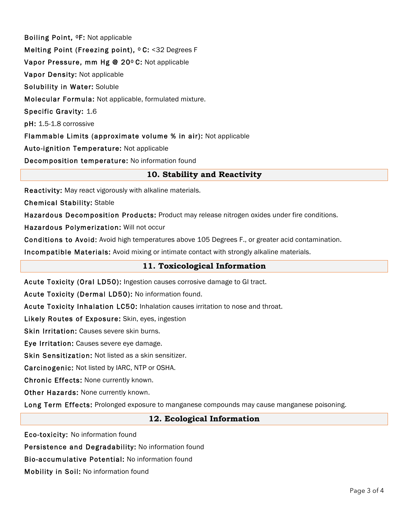Boiling Point, 0F: Not applicable Melting Point (Freezing point), <sup>o</sup> C: <32 Degrees F Vapor Pressure, mm Hg @ 20º C: Not applicable Vapor Density: Not applicable Solubility in Water: Soluble Molecular Formula: Not applicable, formulated mixture. Specific Gravity: 1.6 pH: 1.5-1.8 corrossive Flammable Limits (approximate volume % in air): Not applicable Auto-ignition Temperature: Not applicable Decomposition temperature: No information found

## **10. Stability and Reactivity**

Reactivity: May react vigorously with alkaline materials.

Chemical Stability: Stable

Hazardous Decomposition Products: Product may release nitrogen oxides under fire conditions.

Hazardous Polymerization: Will not occur

Conditions to Avoid: Avoid high temperatures above 105 Degrees F., or greater acid contamination.

Incompatible Materials: Avoid mixing or intimate contact with strongly alkaline materials.

## **11. Toxicological Information**

Acute Toxicity (Oral LD50): Ingestion causes corrosive damage to GI tract.

Acute Toxicity (Dermal LD50): No information found.

Acute Toxicity Inhalation LC50: Inhalation causes irritation to nose and throat.

Likely Routes of Exposure: Skin, eyes, ingestion

Skin Irritation: Causes severe skin burns.

Eye Irritation: Causes severe eye damage.

Skin Sensitization: Not listed as a skin sensitizer.

Carcinogenic: Not listed by IARC, NTP or OSHA.

Chronic Effects: None currently known.

Other Hazards: None currently known.

Long Term Effects: Prolonged exposure to manganese compounds may cause manganese poisoning.

#### **12. Ecological Information**

Eco-toxicity: No information found

Persistence and Degradability: No information found

Bio-accumulative Potential: No information found

Mobility in Soil: No information found